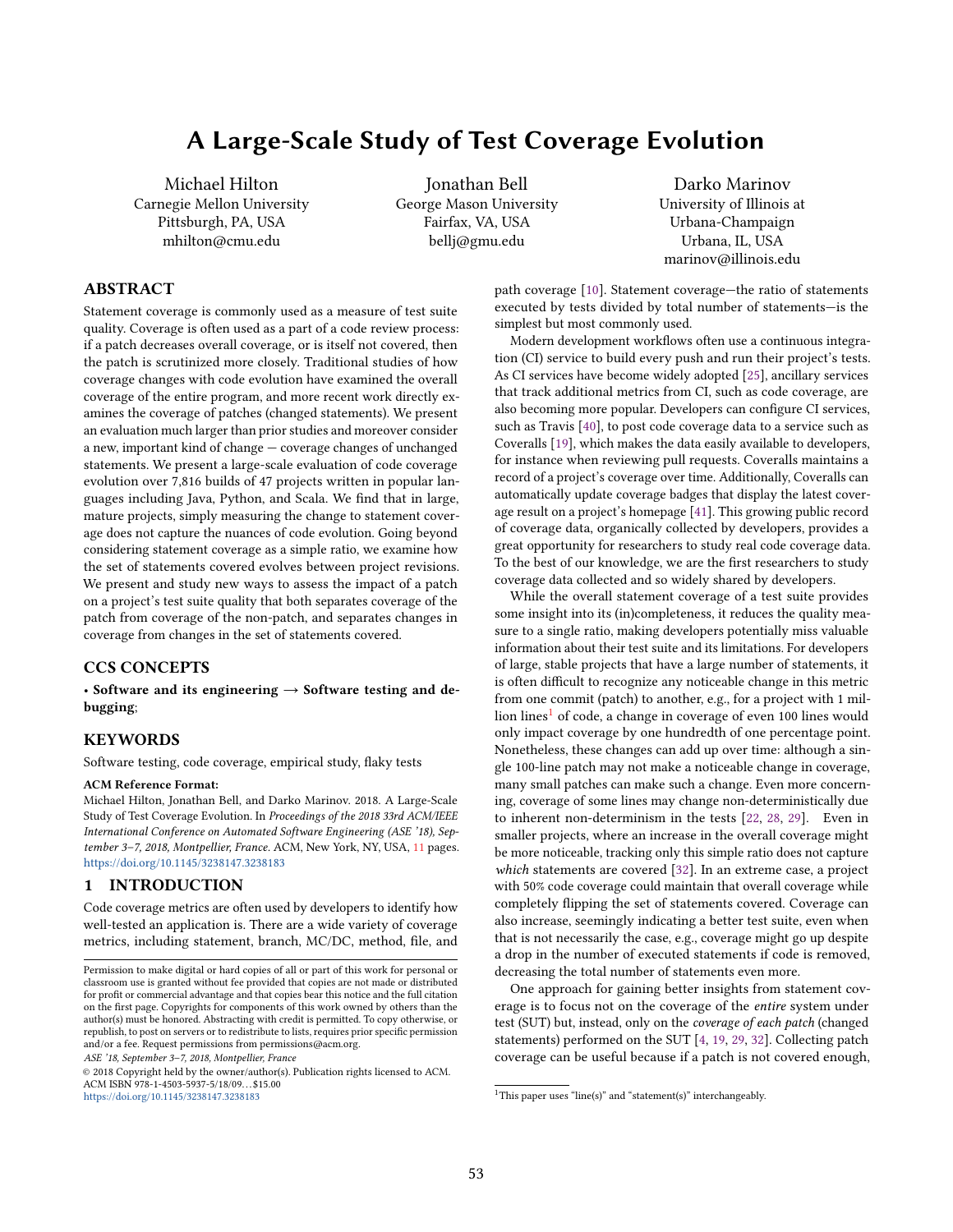# A Large-Scale Study of Test Coverage Evolution

Michael Hilton Carnegie Mellon University Pittsburgh, PA, USA mhilton@cmu.edu

Jonathan Bell George Mason University Fairfax, VA, USA bellj@gmu.edu

Darko Marinov University of Illinois at Urbana-Champaign Urbana, IL, USA marinov@illinois.edu

# ABSTRACT

Statement coverage is commonly used as a measure of test suite quality. Coverage is often used as a part of a code review process: if a patch decreases overall coverage, or is itself not covered, then the patch is scrutinized more closely. Traditional studies of how coverage changes with code evolution have examined the overall coverage of the entire program, and more recent work directly examines the coverage of patches (changed statements). We present an evaluation much larger than prior studies and moreover consider a new, important kind of change — coverage changes of unchanged statements. We present a large-scale evaluation of code coverage evolution over 7,816 builds of 47 projects written in popular languages including Java, Python, and Scala. We find that in large, mature projects, simply measuring the change to statement coverage does not capture the nuances of code evolution. Going beyond considering statement coverage as a simple ratio, we examine how the set of statements covered evolves between project revisions. We present and study new ways to assess the impact of a patch on a project's test suite quality that both separates coverage of the patch from coverage of the non-patch, and separates changes in coverage from changes in the set of statements covered.

# CCS CONCEPTS

• Software and its engineering  $\rightarrow$  Software testing and debugging;

# KEYWORDS

Software testing, code coverage, empirical study, flaky tests

### ACM Reference Format:

Michael Hilton, Jonathan Bell, and Darko Marinov. 2018. A Large-Scale Study of Test Coverage Evolution. In Proceedings of the 2018 33rd ACM/IEEE International Conference on Automated Software Engineering (ASE '18), September 3–7, 2018, Montpellier, France. ACM, New York, NY, USA, [11](#page-10-0) pages. <https://doi.org/10.1145/3238147.3238183>

### 1 INTRODUCTION

Code coverage metrics are often used by developers to identify how well-tested an application is. There are a wide variety of coverage metrics, including statement, branch, MC/DC, method, file, and

ASE '18, September 3–7, 2018, Montpellier, France

© 2018 Copyright held by the owner/author(s). Publication rights licensed to ACM. ACM ISBN 978-1-4503-5937-5/18/09...\$15.00 <https://doi.org/10.1145/3238147.3238183>

path coverage [\[10\]](#page-10-1). Statement coverage—the ratio of statements executed by tests divided by total number of statements—is the simplest but most commonly used.

Modern development workflows often use a continuous integration (CI) service to build every push and run their project's tests. As CI services have become widely adopted [\[25\]](#page-10-2), ancillary services that track additional metrics from CI, such as code coverage, are also becoming more popular. Developers can configure CI services, such as Travis [\[40\]](#page-10-3), to post code coverage data to a service such as Coveralls [\[19\]](#page-10-4), which makes the data easily available to developers, for instance when reviewing pull requests. Coveralls maintains a record of a project's coverage over time. Additionally, Coveralls can automatically update coverage badges that display the latest coverage result on a project's homepage [\[41\]](#page-10-5). This growing public record of coverage data, organically collected by developers, provides a great opportunity for researchers to study real code coverage data. To the best of our knowledge, we are the first researchers to study coverage data collected and so widely shared by developers.

While the overall statement coverage of a test suite provides some insight into its (in)completeness, it reduces the quality measure to a single ratio, making developers potentially miss valuable information about their test suite and its limitations. For developers of large, stable projects that have a large number of statements, it is often difficult to recognize any noticeable change in this metric from one commit (patch) to another, e.g., for a project with 1 mil-lion lines<sup>[1](#page-0-0)</sup> of code, a change in coverage of even 100 lines would only impact coverage by one hundredth of one percentage point. Nonetheless, these changes can add up over time: although a single 100-line patch may not make a noticeable change in coverage, many small patches can make such a change. Even more concerning, coverage of some lines may change non-deterministically due to inherent non-determinism in the tests [\[22,](#page-10-6) [28,](#page-10-7) [29\]](#page-10-8). Even in smaller projects, where an increase in the overall coverage might be more noticeable, tracking only this simple ratio does not capture which statements are covered [\[32\]](#page-10-9). In an extreme case, a project with 50% code coverage could maintain that overall coverage while completely flipping the set of statements covered. Coverage can also increase, seemingly indicating a better test suite, even when that is not necessarily the case, e.g., coverage might go up despite a drop in the number of executed statements if code is removed, decreasing the total number of statements even more.

One approach for gaining better insights from statement coverage is to focus not on the coverage of the entire system under test (SUT) but, instead, only on the coverage of each patch (changed statements) performed on the SUT [\[4,](#page-10-10) [19,](#page-10-4) [29,](#page-10-8) [32\]](#page-10-9). Collecting patch coverage can be useful because if a patch is not covered enough,

Permission to make digital or hard copies of all or part of this work for personal or classroom use is granted without fee provided that copies are not made or distributed for profit or commercial advantage and that copies bear this notice and the full citation on the first page. Copyrights for components of this work owned by others than the author(s) must be honored. Abstracting with credit is permitted. To copy otherwise, or republish, to post on servers or to redistribute to lists, requires prior specific permission and/or a fee. Request permissions from permissions@acm.org.

<span id="page-0-0"></span><sup>&</sup>lt;sup>1</sup>This paper uses "line(s)" and "statement(s)" interchangeably.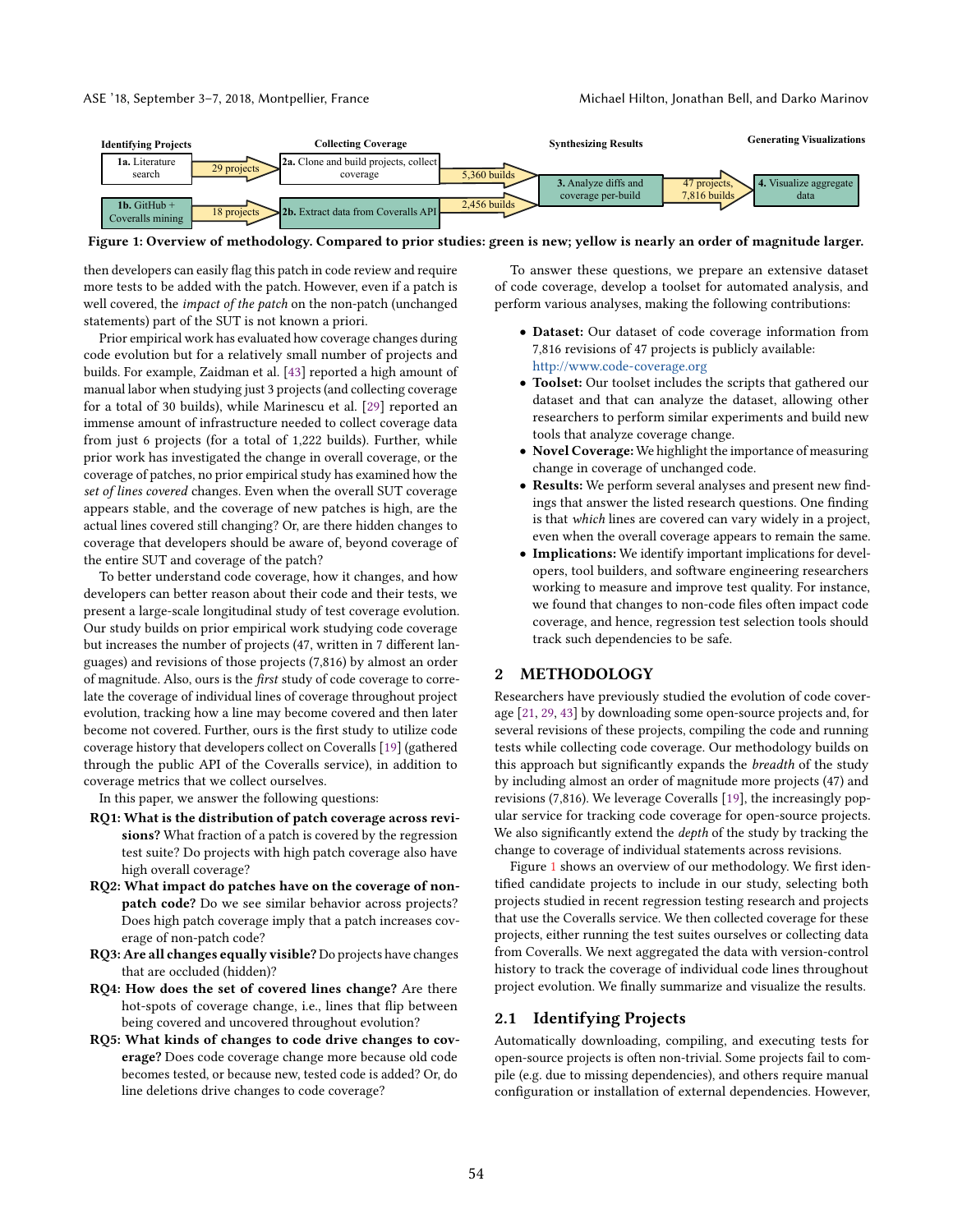<span id="page-1-0"></span>

Figure 1: Overview of methodology. Compared to prior studies: green is new; yellow is nearly an order of magnitude larger.

then developers can easily flag this patch in code review and require more tests to be added with the patch. However, even if a patch is well covered, the impact of the patch on the non-patch (unchanged statements) part of the SUT is not known a priori.

Prior empirical work has evaluated how coverage changes during code evolution but for a relatively small number of projects and builds. For example, Zaidman et al. [\[43\]](#page-10-11) reported a high amount of manual labor when studying just 3 projects (and collecting coverage for a total of 30 builds), while Marinescu et al. [\[29\]](#page-10-8) reported an immense amount of infrastructure needed to collect coverage data from just 6 projects (for a total of 1,222 builds). Further, while prior work has investigated the change in overall coverage, or the coverage of patches, no prior empirical study has examined how the set of lines covered changes. Even when the overall SUT coverage appears stable, and the coverage of new patches is high, are the actual lines covered still changing? Or, are there hidden changes to coverage that developers should be aware of, beyond coverage of the entire SUT and coverage of the patch?

To better understand code coverage, how it changes, and how developers can better reason about their code and their tests, we present a large-scale longitudinal study of test coverage evolution. Our study builds on prior empirical work studying code coverage but increases the number of projects (47, written in 7 different languages) and revisions of those projects (7,816) by almost an order of magnitude. Also, ours is the first study of code coverage to correlate the coverage of individual lines of coverage throughout project evolution, tracking how a line may become covered and then later become not covered. Further, ours is the first study to utilize code coverage history that developers collect on Coveralls [\[19\]](#page-10-4) (gathered through the public API of the Coveralls service), in addition to coverage metrics that we collect ourselves.

In this paper, we answer the following questions:

- RQ1: What is the distribution of patch coverage across revisions? What fraction of a patch is covered by the regression test suite? Do projects with high patch coverage also have high overall coverage?
- RQ2: What impact do patches have on the coverage of nonpatch code? Do we see similar behavior across projects? Does high patch coverage imply that a patch increases coverage of non-patch code?
- RQ3: Are all changes equally visible? Do projects have changes that are occluded (hidden)?
- RQ4: How does the set of covered lines change? Are there hot-spots of coverage change, i.e., lines that flip between being covered and uncovered throughout evolution?
- RQ5: What kinds of changes to code drive changes to coverage? Does code coverage change more because old code becomes tested, or because new, tested code is added? Or, do line deletions drive changes to code coverage?

To answer these questions, we prepare an extensive dataset of code coverage, develop a toolset for automated analysis, and perform various analyses, making the following contributions:

- Dataset: Our dataset of code coverage information from 7,816 revisions of 47 projects is publicly available: <http://www.code-coverage.org>
- Toolset: Our toolset includes the scripts that gathered our dataset and that can analyze the dataset, allowing other researchers to perform similar experiments and build new tools that analyze coverage change.
- Novel Coverage: We highlight the importance of measuring change in coverage of unchanged code.
- Results: We perform several analyses and present new findings that answer the listed research questions. One finding is that which lines are covered can vary widely in a project, even when the overall coverage appears to remain the same.
- Implications: We identify important implications for developers, tool builders, and software engineering researchers working to measure and improve test quality. For instance, we found that changes to non-code files often impact code coverage, and hence, regression test selection tools should track such dependencies to be safe.

# 2 METHODOLOGY

Researchers have previously studied the evolution of code coverage [\[21,](#page-10-12) [29,](#page-10-8) [43\]](#page-10-11) by downloading some open-source projects and, for several revisions of these projects, compiling the code and running tests while collecting code coverage. Our methodology builds on this approach but significantly expands the breadth of the study by including almost an order of magnitude more projects (47) and revisions (7,816). We leverage Coveralls [\[19\]](#page-10-4), the increasingly popular service for tracking code coverage for open-source projects. We also significantly extend the depth of the study by tracking the change to coverage of individual statements across revisions.

Figure [1](#page-1-0) shows an overview of our methodology. We first identified candidate projects to include in our study, selecting both projects studied in recent regression testing research and projects that use the Coveralls service. We then collected coverage for these projects, either running the test suites ourselves or collecting data from Coveralls. We next aggregated the data with version-control history to track the coverage of individual code lines throughout project evolution. We finally summarize and visualize the results.

# 2.1 Identifying Projects

Automatically downloading, compiling, and executing tests for open-source projects is often non-trivial. Some projects fail to compile (e.g. due to missing dependencies), and others require manual configuration or installation of external dependencies. However,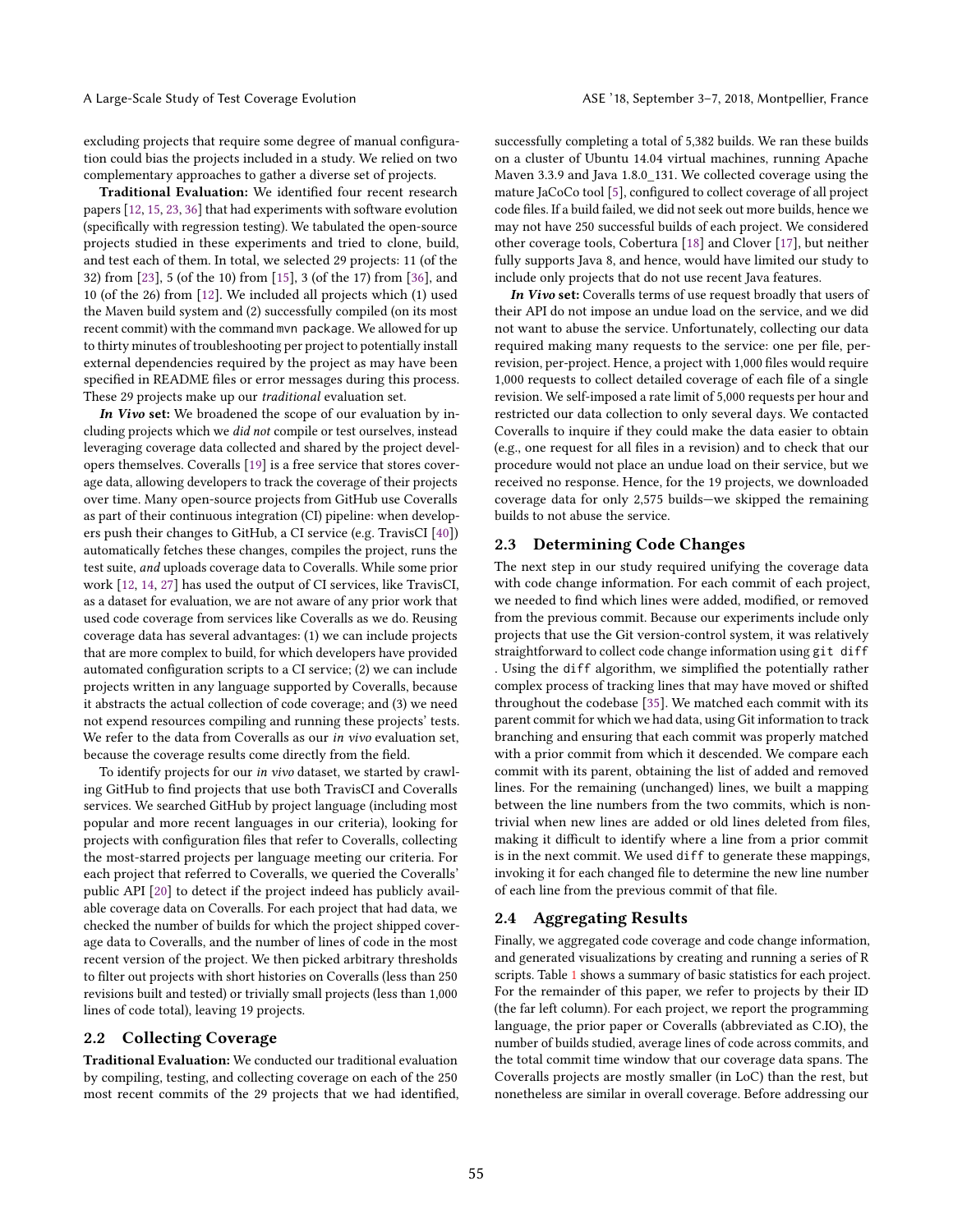excluding projects that require some degree of manual configuration could bias the projects included in a study. We relied on two complementary approaches to gather a diverse set of projects.

Traditional Evaluation: We identified four recent research papers [\[12,](#page-10-13) [15,](#page-10-14) [23,](#page-10-15) [36\]](#page-10-16) that had experiments with software evolution (specifically with regression testing). We tabulated the open-source projects studied in these experiments and tried to clone, build, and test each of them. In total, we selected 29 projects: 11 (of the 32) from [\[23\]](#page-10-15), 5 (of the 10) from [\[15\]](#page-10-14), 3 (of the 17) from [\[36\]](#page-10-16), and 10 (of the 26) from [\[12\]](#page-10-13). We included all projects which (1) used the Maven build system and (2) successfully compiled (on its most recent commit) with the command mvn package. We allowed for up to thirty minutes of troubleshooting per project to potentially install external dependencies required by the project as may have been specified in README files or error messages during this process. These 29 projects make up our traditional evaluation set.

In Vivo set: We broadened the scope of our evaluation by including projects which we did not compile or test ourselves, instead leveraging coverage data collected and shared by the project developers themselves. Coveralls [\[19\]](#page-10-4) is a free service that stores coverage data, allowing developers to track the coverage of their projects over time. Many open-source projects from GitHub use Coveralls as part of their continuous integration (CI) pipeline: when developers push their changes to GitHub, a CI service (e.g. TravisCI [\[40\]](#page-10-3)) automatically fetches these changes, compiles the project, runs the test suite, and uploads coverage data to Coveralls. While some prior work [\[12,](#page-10-13) [14,](#page-10-17) [27\]](#page-10-18) has used the output of CI services, like TravisCI, as a dataset for evaluation, we are not aware of any prior work that used code coverage from services like Coveralls as we do. Reusing coverage data has several advantages: (1) we can include projects that are more complex to build, for which developers have provided automated configuration scripts to a CI service; (2) we can include projects written in any language supported by Coveralls, because it abstracts the actual collection of code coverage; and (3) we need not expend resources compiling and running these projects' tests. We refer to the data from Coveralls as our in vivo evaluation set, because the coverage results come directly from the field.

To identify projects for our in vivo dataset, we started by crawling GitHub to find projects that use both TravisCI and Coveralls services. We searched GitHub by project language (including most popular and more recent languages in our criteria), looking for projects with configuration files that refer to Coveralls, collecting the most-starred projects per language meeting our criteria. For each project that referred to Coveralls, we queried the Coveralls' public API [\[20\]](#page-10-19) to detect if the project indeed has publicly available coverage data on Coveralls. For each project that had data, we checked the number of builds for which the project shipped coverage data to Coveralls, and the number of lines of code in the most recent version of the project. We then picked arbitrary thresholds to filter out projects with short histories on Coveralls (less than 250 revisions built and tested) or trivially small projects (less than 1,000 lines of code total), leaving 19 projects.

### 2.2 Collecting Coverage

Traditional Evaluation: We conducted our traditional evaluation by compiling, testing, and collecting coverage on each of the 250 most recent commits of the 29 projects that we had identified, successfully completing a total of 5,382 builds. We ran these builds on a cluster of Ubuntu 14.04 virtual machines, running Apache Maven 3.3.9 and Java 1.8.0\_131. We collected coverage using the mature JaCoCo tool [\[5\]](#page-10-20), configured to collect coverage of all project code files. If a build failed, we did not seek out more builds, hence we may not have 250 successful builds of each project. We considered other coverage tools, Cobertura [\[18\]](#page-10-21) and Clover [\[17\]](#page-10-22), but neither fully supports Java 8, and hence, would have limited our study to include only projects that do not use recent Java features.

In Vivo set: Coveralls terms of use request broadly that users of their API do not impose an undue load on the service, and we did not want to abuse the service. Unfortunately, collecting our data required making many requests to the service: one per file, perrevision, per-project. Hence, a project with 1,000 files would require 1,000 requests to collect detailed coverage of each file of a single revision. We self-imposed a rate limit of 5,000 requests per hour and restricted our data collection to only several days. We contacted Coveralls to inquire if they could make the data easier to obtain (e.g., one request for all files in a revision) and to check that our procedure would not place an undue load on their service, but we received no response. Hence, for the 19 projects, we downloaded coverage data for only 2,575 builds—we skipped the remaining builds to not abuse the service.

# 2.3 Determining Code Changes

The next step in our study required unifying the coverage data with code change information. For each commit of each project, we needed to find which lines were added, modified, or removed from the previous commit. Because our experiments include only projects that use the Git version-control system, it was relatively straightforward to collect code change information using git diff . Using the diff algorithm, we simplified the potentially rather complex process of tracking lines that may have moved or shifted throughout the codebase [\[35\]](#page-10-23). We matched each commit with its parent commit for which we had data, using Git information to track branching and ensuring that each commit was properly matched with a prior commit from which it descended. We compare each commit with its parent, obtaining the list of added and removed lines. For the remaining (unchanged) lines, we built a mapping between the line numbers from the two commits, which is nontrivial when new lines are added or old lines deleted from files, making it difficult to identify where a line from a prior commit is in the next commit. We used diff to generate these mappings, invoking it for each changed file to determine the new line number of each line from the previous commit of that file.

### 2.4 Aggregating Results

Finally, we aggregated code coverage and code change information, and generated visualizations by creating and running a series of R scripts. Table [1](#page-3-0) shows a summary of basic statistics for each project. For the remainder of this paper, we refer to projects by their ID (the far left column). For each project, we report the programming language, the prior paper or Coveralls (abbreviated as C.IO), the number of builds studied, average lines of code across commits, and the total commit time window that our coverage data spans. The Coveralls projects are mostly smaller (in LoC) than the rest, but nonetheless are similar in overall coverage. Before addressing our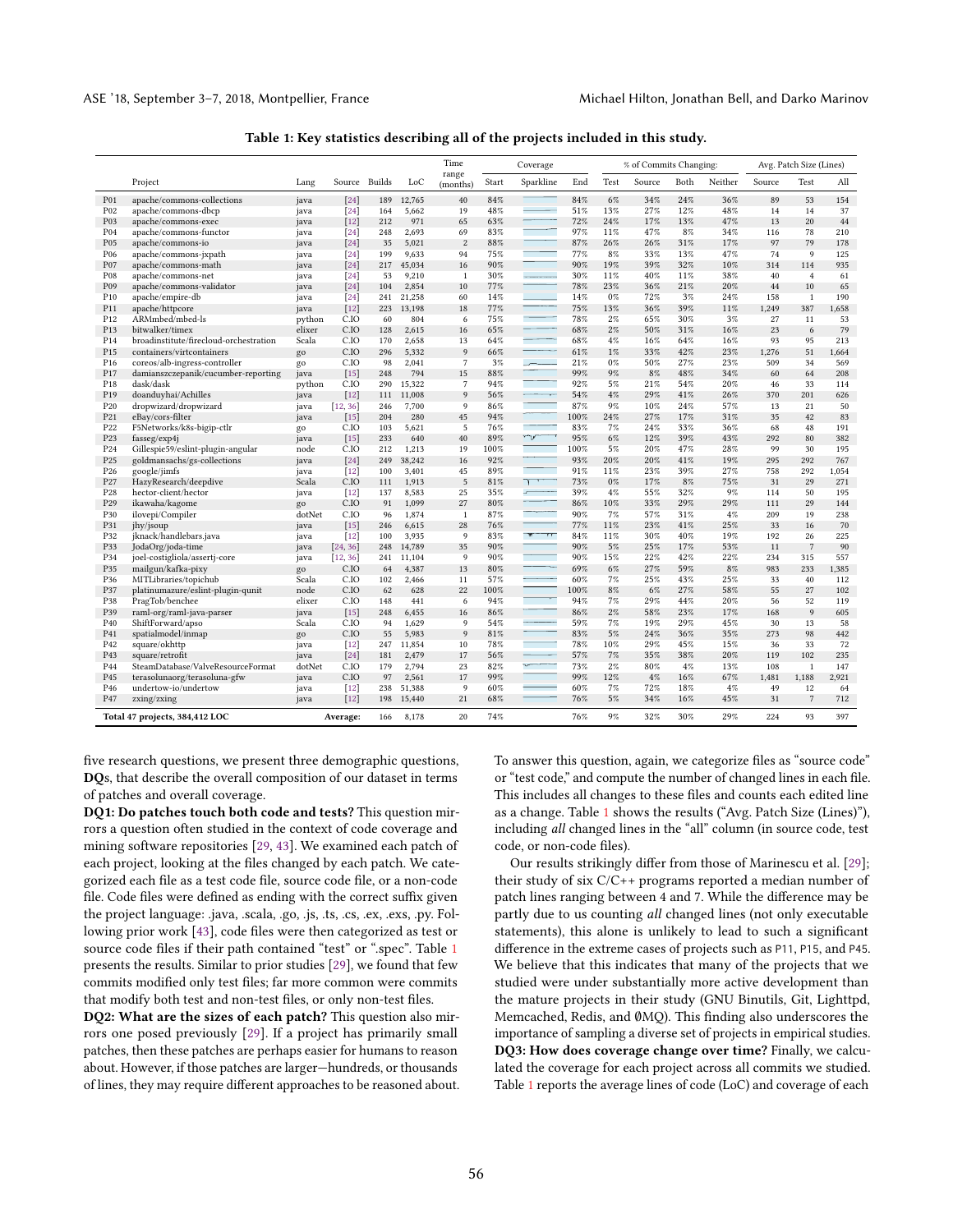Table 1: Key statistics describing all of the projects included in this study.

<span id="page-3-0"></span>

|                 |                                         |        |                       |               |            | Time              |            | Coverage       |            | % of Commits Changing: |           |            |            | Avg. Patch Size (Lines) |                         |              |
|-----------------|-----------------------------------------|--------|-----------------------|---------------|------------|-------------------|------------|----------------|------------|------------------------|-----------|------------|------------|-------------------------|-------------------------|--------------|
|                 | Project                                 | Lang   |                       | Source Builds | LoC        | range<br>(months) | Start      | Sparkline      | End        | Test                   | Source    | Both       | Neither    | Source                  | Test                    | All          |
| P01             | apache/commons-collections              | java   | $[24]$                | 189           | 12,765     | 40                | 84%        |                | 84%        | 6%                     | 34%       | 24%        | 36%        | 89                      | 53                      | 154          |
| P <sub>02</sub> | apache/commons-dbcp                     | java   | $[24]$                | 164           | 5,662      | 19                | 48%        |                | 51%        | 13%                    | 27%       | 12%        | 48%        | 14                      | 14                      | 37           |
| P03             | apache/commons-exec                     | java   | $[12]$                | 212           | 971        | 65                | 63%        |                | 72%        | 24%                    | 17%       | 13%        | 47%        | 13                      | 20                      | 44           |
| P <sub>04</sub> | apache/commons-functor                  | java   | [24]                  | 248           | 2,693      | 69                | 83%        |                | 97%        | 11%                    | 47%       | 8%         | 34%        | 116                     | 78                      | 210          |
| P05             | apache/commons-io                       | java   | $[24]$                | 35            | 5,021      | 2                 | 88%        |                | 87%        | 26%                    | 26%       | 31%        | 17%        | 97                      | 79                      | 178          |
| P <sub>06</sub> | apache/commons-jxpath                   | java   | [24]                  | 199           | 9,633      | 94                | 75%        |                | 77%        | 8%                     | 33%       | 13%        | 47%        | 74                      | 9                       | 125          |
| P07             | apache/commons-math                     | java   | $[24]$                | 217           | 45,034     | 16                | 90%        |                | 90%        | 19%                    | 39%       | 32%        | 10%        | 314                     | 114                     | 935          |
| P08             | apache/commons-net                      | java   | $[24]$                | 53            | 9,210      | 1                 | 30%        |                | 30%        | 11%                    | 40%       | 11%        | 38%        | 40                      | $\overline{4}$          | 61           |
| P <sub>09</sub> | apache/commons-validator                | java   | [24]                  | 104           | 2,854      | 10                | 77%        |                | 78%        | 23%                    | 36%       | 21%        | 20%        | 44                      | 10                      | 65           |
| P <sub>10</sub> | apache/empire-db                        | java   | $[24]$                | 241           | 21,258     | 60                | 14%        |                | 14%        | $0\%$                  | 72%       | 3%         | 24%        | 158                     | $\mathbf{1}$            | 190          |
| P11             | apache/httpcore                         | java   | $[12]$                | 223           | 13.198     | 18                | 77%        |                | 75%        | 13%                    | 36%       | 39%        | 11%        | 1.249                   | 387                     | 1.658        |
| P <sub>12</sub> | ARMmbed/mbed-ls                         | python | C.IO                  | 60            | 804        | 6                 | 75%        | --             | 78%        | 2%                     | 65%       | 30%        | 3%         | 27                      | 11                      | 53           |
| P <sub>13</sub> | bitwalker/timex                         | elixer | $C_{\rm{LO}}$         | 128           | 2,615      | 16                | 65%        |                | 68%        | 2%                     | 50%       | 31%        | 16%        | 23                      | 6                       | 79           |
| P <sub>14</sub> | broadinstitute/firecloud-orchestration  | Scala  | $C_{\rm{LO}}$         | 170           | 2,658      | 13                | 64%        |                | 68%        | 4%                     | 16%       | 64%        | 16%        | 93                      | 95                      | 213          |
| P <sub>15</sub> | containers/virtcontainers               | go     | C.IO                  | 296           | 5,332      | 9                 | 66%        |                | 61%        | $1\%$                  | 33%       | 42%        | 23%        | 1,276                   | 51                      | 1,664        |
| P <sub>16</sub> | coreos/alb-ingress-controller           | go     | $C_{\rm LO}$          | 98            | 2,041      | $\overline{7}$    | 3%         |                | 21%        | $0\%$                  | 50%       | 27%        | 23%        | 509                     | 34                      | 569          |
| P <sub>17</sub> | damianszczepanik/cucumber-reporting     | java   | $[15]$                | 248           | 794        | 15                | 88%        |                | 99%        | 9%                     | 8%        | 48%        | 34%        | 60                      | 64                      | 208          |
| P <sub>18</sub> | dask/dask                               | python | C.IO                  | 290           | 15,322     | 7                 | 94%        |                | 92%        | 5%                     | 21%       | 54%        | 20%        | 46                      | 33                      | 114          |
| P <sub>19</sub> | doanduyhai/Achilles                     | java   | $[12]$                | 111           | 11,008     | $\mathbf{Q}$      | 56%        |                | 54%        | 4%                     | 29%       | 41%        | 26%        | 370                     | 201                     | 626          |
| P20             | dropwizard/dropwizard                   | java   | [12, 36]              | 246           | 7,700      | 9                 | 86%        |                | 87%        | 9%                     | 10%       | 24%        | 57%        | 13                      | 21                      | 50           |
| P21             | eBay/cors-filter                        | java   | $[15]$                | 204           | 280        | 45                | 94%        |                | 100%       | 24%                    | 27%       | 17%        | 31%        | 35                      | 42                      | 83           |
| P <sub>22</sub> | F5Networks/k8s-bigip-ctlr               | go     | C.IO                  | 103           | 5,621      | 5                 | 76%        | ____           | 83%        | 7%                     | 24%       | 33%        | 36%        | 68                      | 48                      | 191          |
| P <sub>23</sub> | fasseg/exp4j                            | java   | $[15]$                | 233           | 640        | 40                | 89%        | ٣v             | 95%        | 6%                     | 12%       | 39%        | 43%        | 292                     | 80                      | 382          |
| P <sub>24</sub> | Gillespie59/eslint-plugin-angular       | node   | $C_{\rm LO}$          | 212           | 1.213      | 19                | 100%       |                | 100%       | 5%                     | 20%       | 47%        | 28%        | 99                      | 30                      | 195          |
| P <sub>25</sub> | goldmansachs/gs-collections             | java   | $[24]$                | 249           | 38,242     | 16                | 92%        |                | 93%        | 20%                    | 20%       | 41%        | 19%        | 295                     | 292                     | 767          |
| P <sub>26</sub> | google/jimfs                            | java   | $[12]$                | 100           | 3,401      | 45                | 89%        |                | 91%        | 11%                    | 23%       | 39%        | 27%        | 758                     | 292                     | 1,054        |
| P <sub>27</sub> | HazyResearch/deepdive                   | Scala  | C.IO                  | 111           | 1,913      | 5                 | 81%        | $\mathbf{r}$   | 73%        | 0%                     | 17%       | 8%         | 75%        | 31                      | 29                      | 271          |
| P <sub>28</sub> | hector-client/hector                    | java   | $[12]$                | 137           | 8,583      | 25                | 35%        | F              | 39%        | $4\%$                  | 55%       | 32%        | 9%         | 114                     | 50                      | 195          |
| P <sub>29</sub> | ikawaha/kagome                          | go     | $C_{\rm{LO}}$         | 91            | 1.099      | 27                | 80%        |                | 86%        | 10%                    | 33%       | 29%        | 29%        | 111                     | 29                      | 144          |
| P30             | ilovepi/Compiler                        | dotNet | $C_{\rm LO}$          | 96            | 1,874      | 1                 | 87%        |                | 90%        | 7%                     | 57%       | 31%        | 4%         | 209                     | 19                      | 238          |
| P31             | jhy/jsoup                               | java   | $[15]$                | 246           | 6,615      | 28                | 76%        |                | 77%        | 11%                    | 23%       | 41%        | 25%        | 33                      | 16                      | 70           |
| P32             | jknack/handlebars.java                  | java   | $[12]$                | 100           | 3,935      | 9                 | 83%        | $\blacksquare$ | 84%        | 11%                    | 30%       | 40%        | 19%        | 192                     | 26                      | 225          |
| P33             | JodaOrg/joda-time                       | java   | [24, 36]              | 248           | 14,789     | 35                | 90%        |                | 90%        | 5%                     | 25%       | 17%        | 53%        | 11                      | $\overline{7}$          | 90           |
| P34             | joel-costigliola/assertj-core           | java   | [12, 36]              | 241           | 11,104     | 9                 | 90%        |                | 90%        | 15%                    | 22%       | 42%        | 22%        | 234                     | 315                     | 557          |
| P35             | mailgun/kafka-pixy                      | go     | C.IO                  | 64            | 4,387      | 13                | 80%        |                | 69%        | 6%                     | 27%       | 59%        | $8\%$      | 983                     | 233                     | 1,385        |
| P36             | MITLibraries/topichub                   | Scala  | $C_{\rm LO}$          | 102           | 2.466      | 11                | 57%        |                | 60%        | 7%                     | 25%       | 43%        | 25%        | 33                      | 40                      | 112          |
| P37             | platinumazure/eslint-plugin-qunit       | node   | $C_{\rm{LO}}$         | 62            | 628        | 22                | 100%       |                | 100%       | 8%                     | 6%        | 27%        | 58%        | 55                      | 27                      | 102          |
| P38             | PragTob/benchee                         | elixer | $C_{\rm LO}$          | 148           | 441        | 6                 | 94%        |                | 94%        | 7%                     | 29%       | 44%        | 20%        | 56                      | 52                      | 119          |
| P39             |                                         | java   | $[15]$                | 248           | 6,455      | 16                | 86%        |                | 86%        | 2%                     | 58%       | 23%        | 17%        | 168                     | 9                       | 605          |
| P <sub>40</sub> | raml-org/raml-java-parser               | Scala  | C.IO                  | 94            | 1,629      | 9                 | 54%        |                | 59%        | 7%                     | 19%       | 29%        | 45%        | 30                      | 13                      | 58           |
|                 | ShiftForward/apso<br>spatialmodel/inmap |        | C.IO                  | 55            | 5,983      | 9                 | 81%        |                | 83%        | 5%                     | 24%       | 36%        | 35%        | 273                     | 98                      | 442          |
| P41             |                                         | go     |                       |               |            |                   | 78%        |                |            |                        | 29%       |            |            | 36                      | 33                      |              |
| P42             | square/okhttp                           | java   | $[12]$                | 247           | 11,854     | 10                |            | ___            | 78%<br>57% | 10%<br>7%              | 35%       | 45%<br>38% | 15%<br>20% |                         |                         | 72           |
| P <sub>43</sub> | square/retrofit                         | java   | $[24]$                | 181           | 2,479      | 17                | 56%        |                |            |                        |           |            |            | 119                     | 102                     | 235          |
| P44             | SteamDatabase/ValveResourceFormat       | dotNet | C.IO<br>$C_{\rm{LO}}$ | 179           | 2,794      | 23<br>17          | 82%<br>99% |                | 73%<br>99% | 2%<br>12%              | 80%<br>4% | 4%<br>16%  | 13%<br>67% | 108                     | $\overline{1}$<br>1.188 | 147<br>2.921 |
| P <sub>45</sub> | terasolunaorg/terasoluna-gfw            | java   |                       | 97            | 2,561      |                   |            |                |            |                        |           |            |            | 1.481                   |                         |              |
| P <sub>46</sub> | undertow-io/undertow                    | java   | [12]                  | 238           | 51,388     | 9                 | 60%        |                | 60%        | 7%                     | 72%       | 18%        | 4%         | 49                      | 12                      | 64           |
| <b>P47</b>      | zxing/zxing                             | java   | $[12]$                |               | 198 15,440 | 21                | 68%        |                | 76%        | 5%                     | 34%       | 16%        | 45%        | 31                      | $\overline{7}$          | 712          |
|                 | Total 47 projects, 384,412 LOC          |        | Average:              | 166           | 8,178      | 20                | 74%        |                | 76%        | 9%                     | 32%       | 30%        | 29%        | 224                     | 93                      | 397          |

five research questions, we present three demographic questions, DQs, that describe the overall composition of our dataset in terms of patches and overall coverage.

DQ1: Do patches touch both code and tests? This question mirrors a question often studied in the context of code coverage and mining software repositories [\[29,](#page-10-8) [43\]](#page-10-11). We examined each patch of each project, looking at the files changed by each patch. We categorized each file as a test code file, source code file, or a non-code file. Code files were defined as ending with the correct suffix given the project language: .java, .scala, .go, .js, .ts, .cs, .ex, .exs, .py. Following prior work [\[43\]](#page-10-11), code files were then categorized as test or source code files if their path contained "test" or ".spec". Table [1](#page-3-0) presents the results. Similar to prior studies [\[29\]](#page-10-8), we found that few commits modified only test files; far more common were commits that modify both test and non-test files, or only non-test files.

DQ2: What are the sizes of each patch? This question also mirrors one posed previously [\[29\]](#page-10-8). If a project has primarily small patches, then these patches are perhaps easier for humans to reason about. However, if those patches are larger—hundreds, or thousands of lines, they may require different approaches to be reasoned about. To answer this question, again, we categorize files as "source code" or "test code," and compute the number of changed lines in each file. This includes all changes to these files and counts each edited line as a change. Table [1](#page-3-0) shows the results ("Avg. Patch Size (Lines)"), including all changed lines in the "all" column (in source code, test code, or non-code files).

Our results strikingly differ from those of Marinescu et al. [\[29\]](#page-10-8); their study of six C/C++ programs reported a median number of patch lines ranging between 4 and 7. While the difference may be partly due to us counting all changed lines (not only executable statements), this alone is unlikely to lead to such a significant difference in the extreme cases of projects such as P11, P15, and P45. We believe that this indicates that many of the projects that we studied were under substantially more active development than the mature projects in their study (GNU Binutils, Git, Lighttpd, Memcached, Redis, and ØMQ). This finding also underscores the importance of sampling a diverse set of projects in empirical studies. DQ3: How does coverage change over time? Finally, we calculated the coverage for each project across all commits we studied. Table [1](#page-3-0) reports the average lines of code (LoC) and coverage of each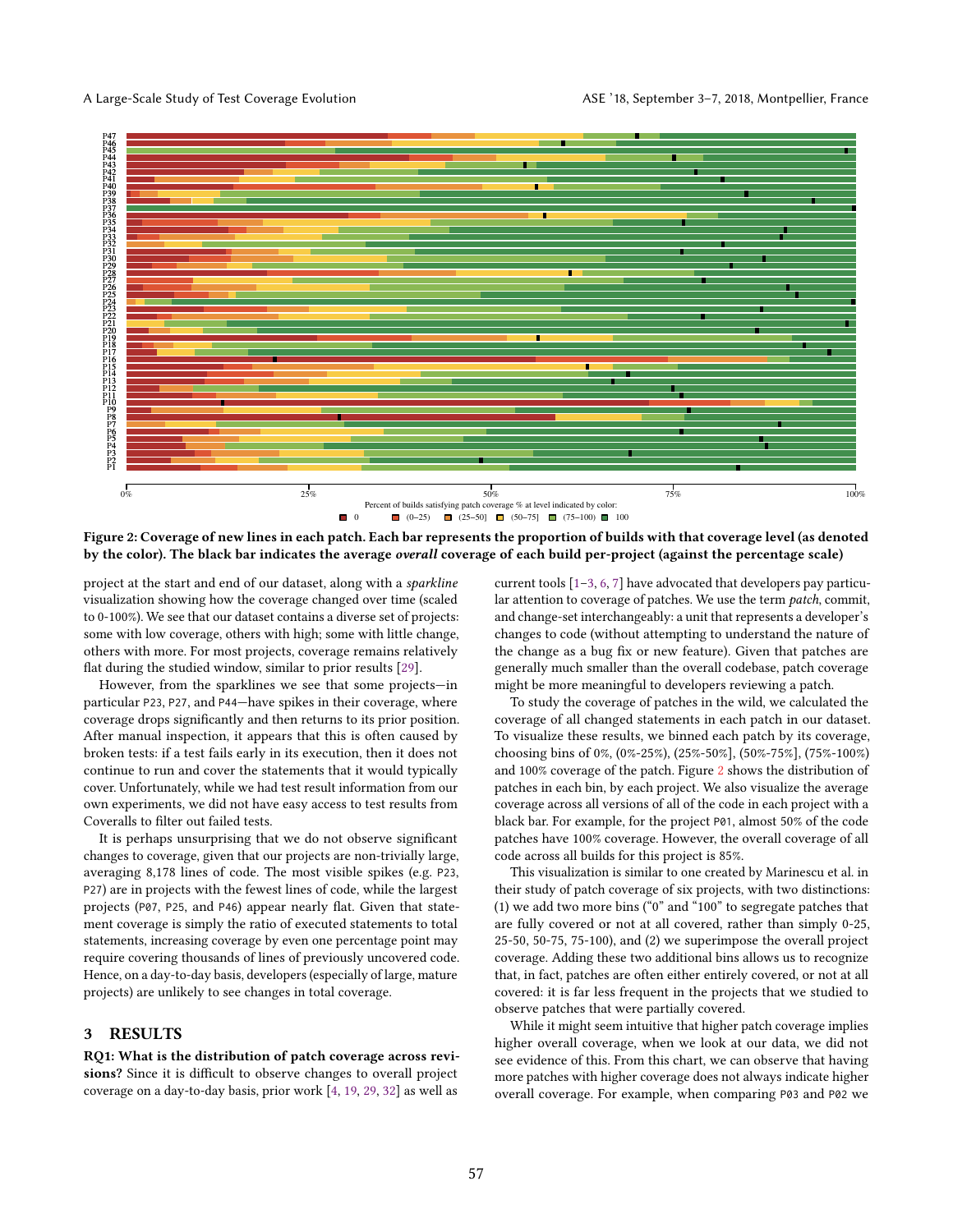<span id="page-4-0"></span>

Figure 2: Coverage of new lines in each patch. Each bar represents the proportion of builds with that coverage level (as denoted by the color). The black bar indicates the average overall coverage of each build per-project (against the percentage scale)

project at the start and end of our dataset, along with a sparkline visualization showing how the coverage changed over time (scaled to 0-100%). We see that our dataset contains a diverse set of projects: some with low coverage, others with high; some with little change, others with more. For most projects, coverage remains relatively flat during the studied window, similar to prior results [\[29\]](#page-10-8).

However, from the sparklines we see that some projects—in particular P23, P27, and P44—have spikes in their coverage, where coverage drops significantly and then returns to its prior position. After manual inspection, it appears that this is often caused by broken tests: if a test fails early in its execution, then it does not continue to run and cover the statements that it would typically cover. Unfortunately, while we had test result information from our own experiments, we did not have easy access to test results from Coveralls to filter out failed tests.

It is perhaps unsurprising that we do not observe significant changes to coverage, given that our projects are non-trivially large, averaging 8,178 lines of code. The most visible spikes (e.g. P23, P27) are in projects with the fewest lines of code, while the largest projects (P07, P25, and P46) appear nearly flat. Given that statement coverage is simply the ratio of executed statements to total statements, increasing coverage by even one percentage point may require covering thousands of lines of previously uncovered code. Hence, on a day-to-day basis, developers (especially of large, mature projects) are unlikely to see changes in total coverage.

# 3 RESULTS

RQ1: What is the distribution of patch coverage across revisions? Since it is difficult to observe changes to overall project coverage on a day-to-day basis, prior work [\[4,](#page-10-10) [19,](#page-10-4) [29,](#page-10-8) [32\]](#page-10-9) as well as

current tools  $[1-3, 6, 7]$  $[1-3, 6, 7]$  $[1-3, 6, 7]$  $[1-3, 6, 7]$  $[1-3, 6, 7]$  $[1-3, 6, 7]$  have advocated that developers pay particular attention to coverage of patches. We use the term patch, commit, and change-set interchangeably: a unit that represents a developer's changes to code (without attempting to understand the nature of the change as a bug fix or new feature). Given that patches are generally much smaller than the overall codebase, patch coverage might be more meaningful to developers reviewing a patch.

To study the coverage of patches in the wild, we calculated the coverage of all changed statements in each patch in our dataset. To visualize these results, we binned each patch by its coverage, choosing bins of 0%, (0%-25%), (25%-50%], (50%-75%], (75%-100%) and 100% coverage of the patch. Figure [2](#page-4-0) shows the distribution of patches in each bin, by each project. We also visualize the average coverage across all versions of all of the code in each project with a black bar. For example, for the project P01, almost 50% of the code patches have 100% coverage. However, the overall coverage of all code across all builds for this project is 85%.

This visualization is similar to one created by Marinescu et al. in their study of patch coverage of six projects, with two distinctions: (1) we add two more bins ("0" and "100" to segregate patches that are fully covered or not at all covered, rather than simply 0-25, 25-50, 50-75, 75-100), and (2) we superimpose the overall project coverage. Adding these two additional bins allows us to recognize that, in fact, patches are often either entirely covered, or not at all covered: it is far less frequent in the projects that we studied to observe patches that were partially covered.

While it might seem intuitive that higher patch coverage implies higher overall coverage, when we look at our data, we did not see evidence of this. From this chart, we can observe that having more patches with higher coverage does not always indicate higher overall coverage. For example, when comparing P03 and P02 we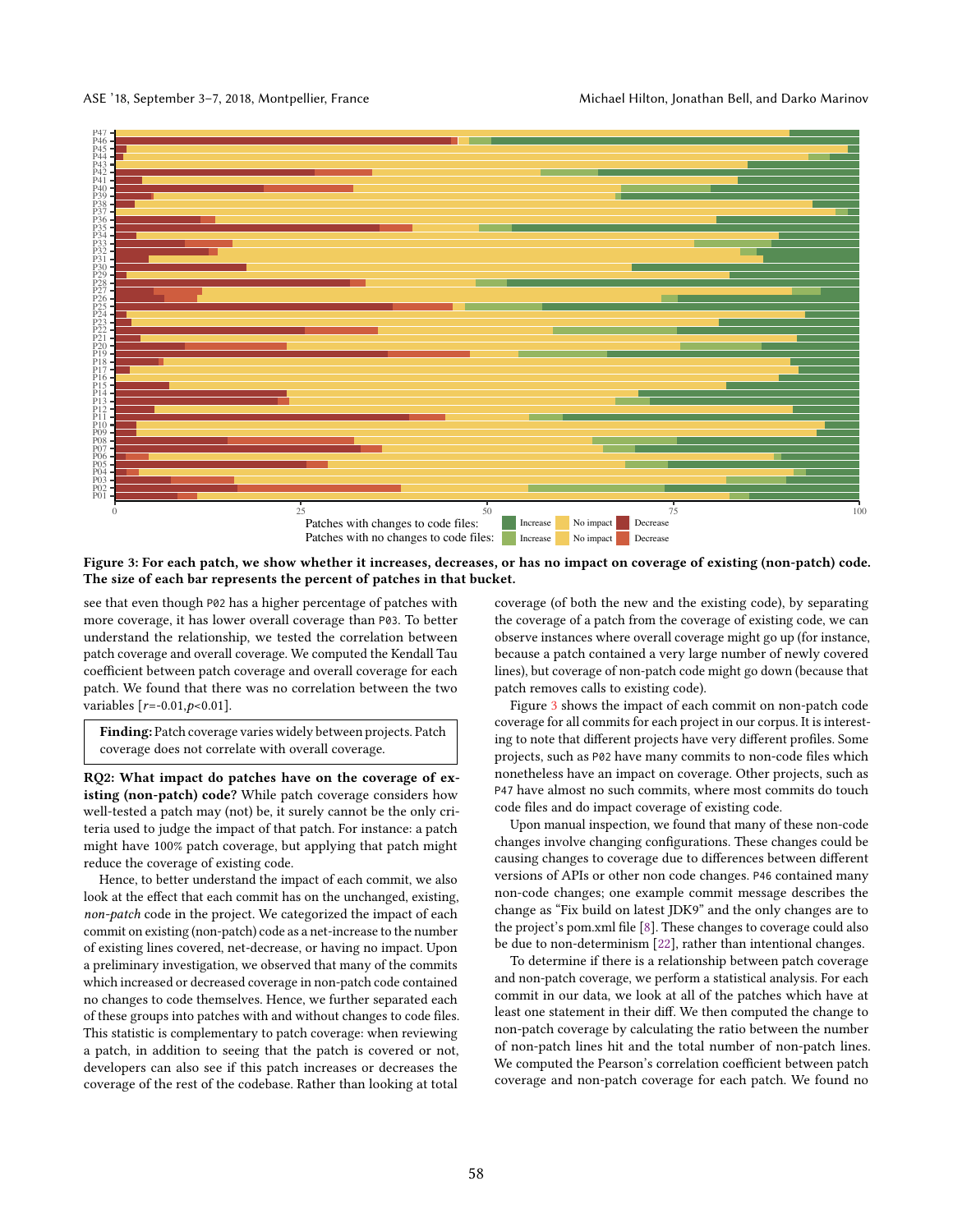<span id="page-5-0"></span>

Figure 3: For each patch, we show whether it increases, decreases, or has no impact on coverage of existing (non-patch) code. The size of each bar represents the percent of patches in that bucket.

see that even though P02 has a higher percentage of patches with more coverage, it has lower overall coverage than P03. To better understand the relationship, we tested the correlation between patch coverage and overall coverage. We computed the Kendall Tau coefficient between patch coverage and overall coverage for each patch. We found that there was no correlation between the two variables  $[r=-0.01, p<0.01]$ .

Finding: Patch coverage varies widely between projects. Patch coverage does not correlate with overall coverage.

RQ2: What impact do patches have on the coverage of existing (non-patch) code? While patch coverage considers how well-tested a patch may (not) be, it surely cannot be the only criteria used to judge the impact of that patch. For instance: a patch might have 100% patch coverage, but applying that patch might reduce the coverage of existing code.

Hence, to better understand the impact of each commit, we also look at the effect that each commit has on the unchanged, existing, non-patch code in the project. We categorized the impact of each commit on existing (non-patch) code as a net-increase to the number of existing lines covered, net-decrease, or having no impact. Upon a preliminary investigation, we observed that many of the commits which increased or decreased coverage in non-patch code contained no changes to code themselves. Hence, we further separated each of these groups into patches with and without changes to code files. This statistic is complementary to patch coverage: when reviewing a patch, in addition to seeing that the patch is covered or not, developers can also see if this patch increases or decreases the coverage of the rest of the codebase. Rather than looking at total

coverage (of both the new and the existing code), by separating the coverage of a patch from the coverage of existing code, we can observe instances where overall coverage might go up (for instance, because a patch contained a very large number of newly covered lines), but coverage of non-patch code might go down (because that patch removes calls to existing code).

Figure [3](#page-5-0) shows the impact of each commit on non-patch code coverage for all commits for each project in our corpus. It is interesting to note that different projects have very different profiles. Some projects, such as P02 have many commits to non-code files which nonetheless have an impact on coverage. Other projects, such as P47 have almost no such commits, where most commits do touch code files and do impact coverage of existing code.

Upon manual inspection, we found that many of these non-code changes involve changing configurations. These changes could be causing changes to coverage due to differences between different versions of APIs or other non code changes. P46 contained many non-code changes; one example commit message describes the change as "Fix build on latest JDK9" and the only changes are to the project's pom.xml file [\[8\]](#page-10-29). These changes to coverage could also be due to non-determinism [\[22\]](#page-10-6), rather than intentional changes.

To determine if there is a relationship between patch coverage and non-patch coverage, we perform a statistical analysis. For each commit in our data, we look at all of the patches which have at least one statement in their diff. We then computed the change to non-patch coverage by calculating the ratio between the number of non-patch lines hit and the total number of non-patch lines. We computed the Pearson's correlation coefficient between patch coverage and non-patch coverage for each patch. We found no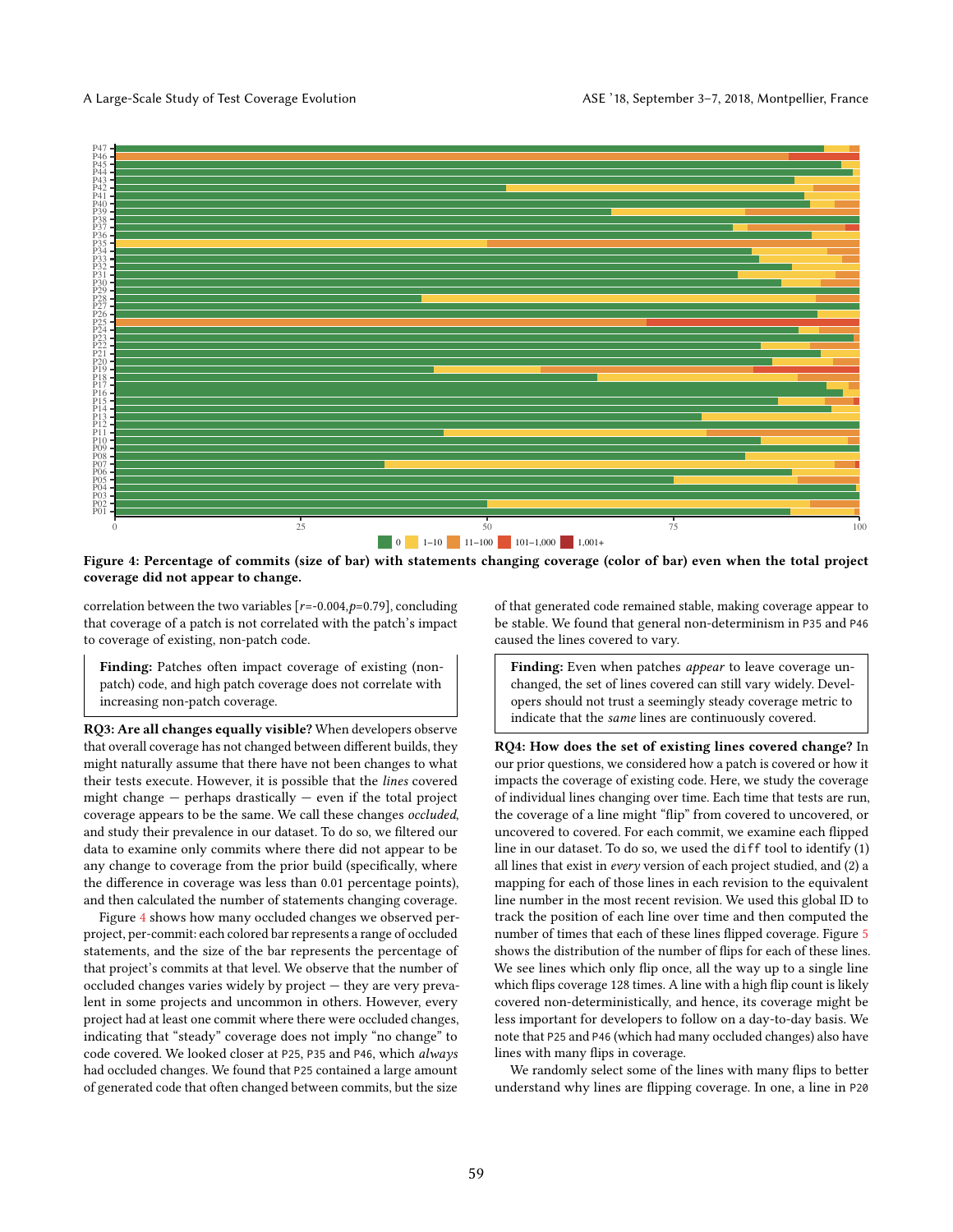<span id="page-6-0"></span>

Figure 4: Percentage of commits (size of bar) with statements changing coverage (color of bar) even when the total project coverage did not appear to change.

correlation between the two variables  $[r=0.004, p=0.79]$ , concluding that coverage of a patch is not correlated with the patch's impact to coverage of existing, non-patch code.

Finding: Patches often impact coverage of existing (nonpatch) code, and high patch coverage does not correlate with increasing non-patch coverage.

RQ3: Are all changes equally visible? When developers observe that overall coverage has not changed between different builds, they might naturally assume that there have not been changes to what their tests execute. However, it is possible that the lines covered might change — perhaps drastically — even if the total project coverage appears to be the same. We call these changes occluded, and study their prevalence in our dataset. To do so, we filtered our data to examine only commits where there did not appear to be any change to coverage from the prior build (specifically, where the difference in coverage was less than 0.01 percentage points), and then calculated the number of statements changing coverage.

Figure [4](#page-6-0) shows how many occluded changes we observed perproject, per-commit: each colored bar represents a range of occluded statements, and the size of the bar represents the percentage of that project's commits at that level. We observe that the number of occluded changes varies widely by project — they are very prevalent in some projects and uncommon in others. However, every project had at least one commit where there were occluded changes, indicating that "steady" coverage does not imply "no change" to code covered. We looked closer at P25, P35 and P46, which always had occluded changes. We found that P25 contained a large amount of generated code that often changed between commits, but the size

of that generated code remained stable, making coverage appear to be stable. We found that general non-determinism in P35 and P46 caused the lines covered to vary.

Finding: Even when patches appear to leave coverage unchanged, the set of lines covered can still vary widely. Developers should not trust a seemingly steady coverage metric to indicate that the same lines are continuously covered.

RQ4: How does the set of existing lines covered change? In our prior questions, we considered how a patch is covered or how it impacts the coverage of existing code. Here, we study the coverage of individual lines changing over time. Each time that tests are run, the coverage of a line might "flip" from covered to uncovered, or uncovered to covered. For each commit, we examine each flipped line in our dataset. To do so, we used the diff tool to identify (1) all lines that exist in every version of each project studied, and (2) a mapping for each of those lines in each revision to the equivalent line number in the most recent revision. We used this global ID to track the position of each line over time and then computed the number of times that each of these lines flipped coverage. Figure [5](#page-7-0) shows the distribution of the number of flips for each of these lines. We see lines which only flip once, all the way up to a single line which flips coverage 128 times. A line with a high flip count is likely covered non-deterministically, and hence, its coverage might be less important for developers to follow on a day-to-day basis. We note that P25 and P46 (which had many occluded changes) also have lines with many flips in coverage.

We randomly select some of the lines with many flips to better understand why lines are flipping coverage. In one, a line in P20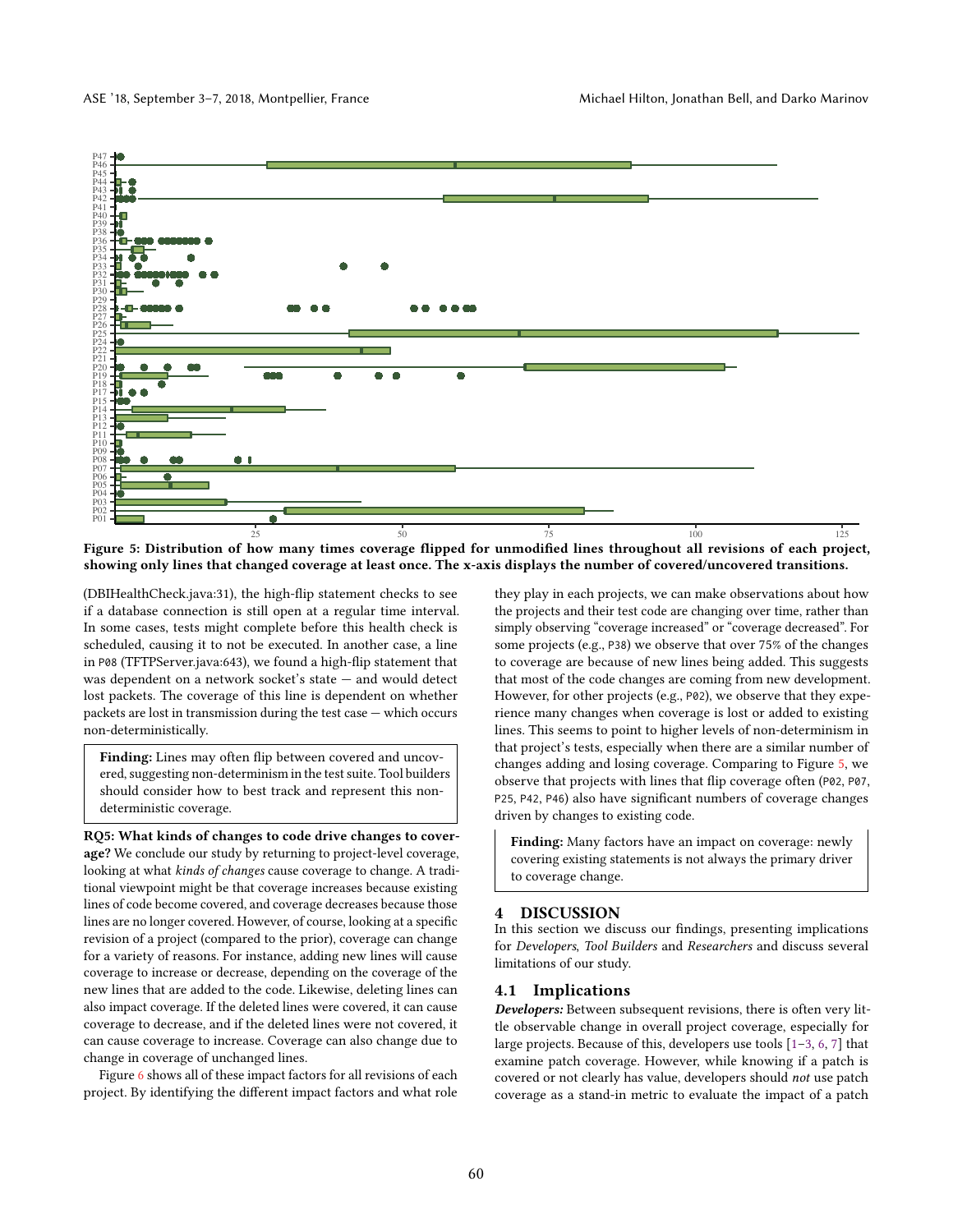<span id="page-7-0"></span>

Figure 5: Distribution of how many times coverage flipped for unmodified lines throughout all revisions of each project,  $^{125}$ showing only lines that changed coverage at least once. The x-axis displays the number of covered/uncovered transitions.

(DBIHealthCheck.java:31), the high-flip statement checks to see if a database connection is still open at a regular time interval. In some cases, tests might complete before this health check is scheduled, causing it to not be executed. In another case, a line in P08 (TFTPServer.java:643), we found a high-flip statement that was dependent on a network socket's state — and would detect lost packets. The coverage of this line is dependent on whether packets are lost in transmission during the test case — which occurs non-deterministically.

Finding: Lines may often flip between covered and uncovered, suggesting non-determinism in the test suite. Tool builders should consider how to best track and represent this nondeterministic coverage.

RQ5: What kinds of changes to code drive changes to coverage? We conclude our study by returning to project-level coverage, looking at what kinds of changes cause coverage to change. A traditional viewpoint might be that coverage increases because existing lines of code become covered, and coverage decreases because those lines are no longer covered. However, of course, looking at a specific revision of a project (compared to the prior), coverage can change for a variety of reasons. For instance, adding new lines will cause coverage to increase or decrease, depending on the coverage of the new lines that are added to the code. Likewise, deleting lines can also impact coverage. If the deleted lines were covered, it can cause coverage to decrease, and if the deleted lines were not covered, it can cause coverage to increase. Coverage can also change due to change in coverage of unchanged lines.

Figure [6](#page-8-0) shows all of these impact factors for all revisions of each project. By identifying the different impact factors and what role they play in each projects, we can make observations about how the projects and their test code are changing over time, rather than simply observing "coverage increased" or "coverage decreased". For some projects (e.g., P38) we observe that over 75% of the changes to coverage are because of new lines being added. This suggests that most of the code changes are coming from new development. However, for other projects (e.g., P02), we observe that they experience many changes when coverage is lost or added to existing lines. This seems to point to higher levels of non-determinism in that project's tests, especially when there are a similar number of changes adding and losing coverage. Comparing to Figure [5,](#page-7-0) we observe that projects with lines that flip coverage often (P02, P07, P25, P42, P46) also have significant numbers of coverage changes driven by changes to existing code.

Finding: Many factors have an impact on coverage: newly covering existing statements is not always the primary driver to coverage change.

### 4 DISCUSSION

In this section we discuss our findings, presenting implications for Developers, Tool Builders and Researchers and discuss several limitations of our study.

### 4.1 Implications

Developers: Between subsequent revisions, there is often very little observable change in overall project coverage, especially for large projects. Because of this, developers use tools [\[1](#page-10-25)[–3,](#page-10-26) [6,](#page-10-27) [7\]](#page-10-28) that examine patch coverage. However, while knowing if a patch is covered or not clearly has value, developers should not use patch coverage as a stand-in metric to evaluate the impact of a patch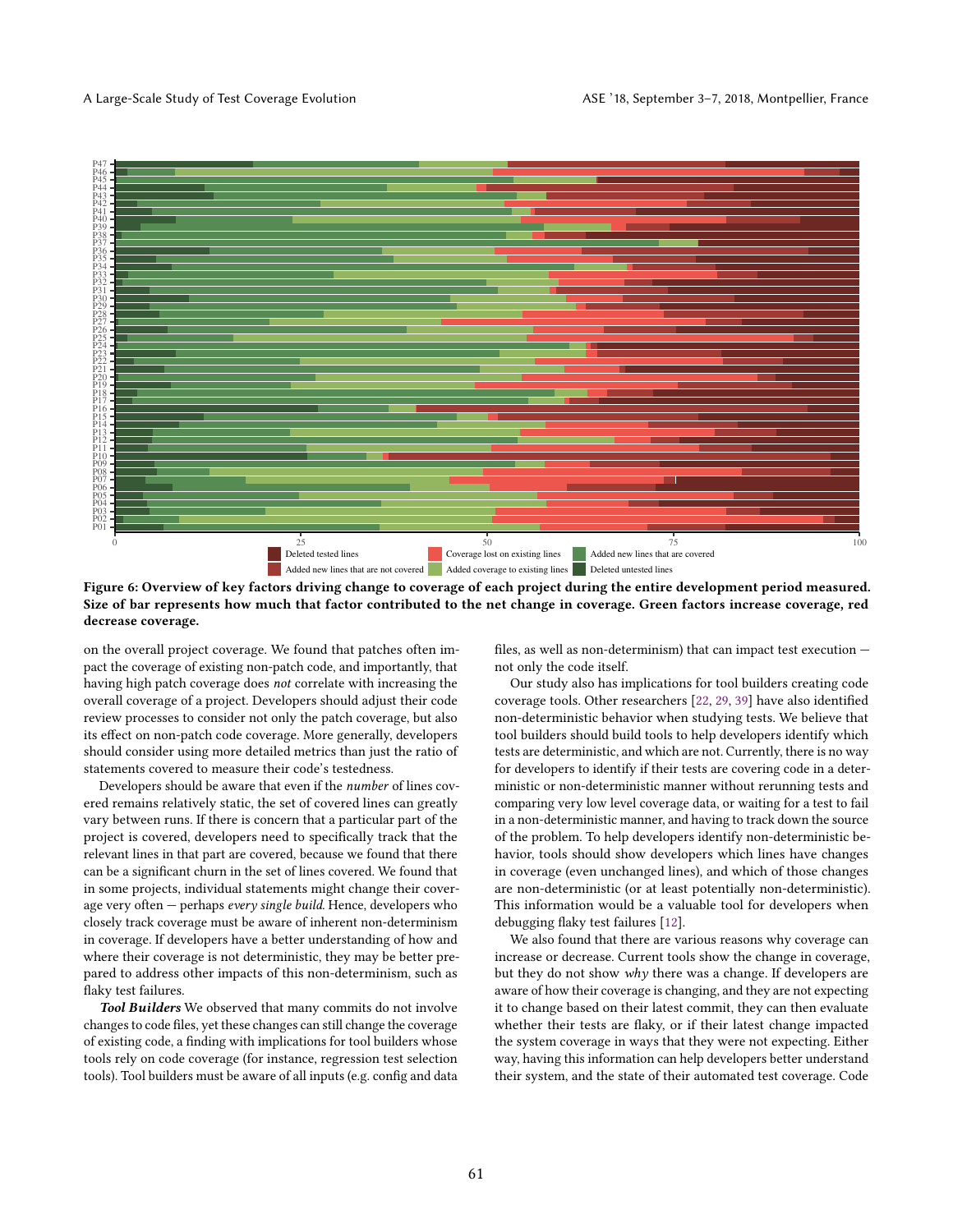<span id="page-8-0"></span>

Figure 6: Overview of key factors driving change to coverage of each project during the entire development period measured. Size of bar represents how much that factor contributed to the net change in coverage. Green factors increase coverage, red decrease coverage.

on the overall project coverage. We found that patches often impact the coverage of existing non-patch code, and importantly, that having high patch coverage does not correlate with increasing the overall coverage of a project. Developers should adjust their code review processes to consider not only the patch coverage, but also its effect on non-patch code coverage. More generally, developers should consider using more detailed metrics than just the ratio of statements covered to measure their code's testedness.

Developers should be aware that even if the number of lines covered remains relatively static, the set of covered lines can greatly vary between runs. If there is concern that a particular part of the project is covered, developers need to specifically track that the relevant lines in that part are covered, because we found that there can be a significant churn in the set of lines covered. We found that in some projects, individual statements might change their coverage very often — perhaps every single build. Hence, developers who closely track coverage must be aware of inherent non-determinism in coverage. If developers have a better understanding of how and where their coverage is not deterministic, they may be better prepared to address other impacts of this non-determinism, such as flaky test failures.

Tool Builders We observed that many commits do not involve changes to code files, yet these changes can still change the coverage of existing code, a finding with implications for tool builders whose tools rely on code coverage (for instance, regression test selection tools). Tool builders must be aware of all inputs (e.g. config and data files, as well as non-determinism) that can impact test execution not only the code itself.

Our study also has implications for tool builders creating code coverage tools. Other researchers [\[22,](#page-10-6) [29,](#page-10-8) [39\]](#page-10-30) have also identified non-deterministic behavior when studying tests. We believe that tool builders should build tools to help developers identify which tests are deterministic, and which are not. Currently, there is no way for developers to identify if their tests are covering code in a deterministic or non-deterministic manner without rerunning tests and comparing very low level coverage data, or waiting for a test to fail in a non-deterministic manner, and having to track down the source of the problem. To help developers identify non-deterministic behavior, tools should show developers which lines have changes in coverage (even unchanged lines), and which of those changes are non-deterministic (or at least potentially non-deterministic). This information would be a valuable tool for developers when debugging flaky test failures [\[12\]](#page-10-13).

We also found that there are various reasons why coverage can increase or decrease. Current tools show the change in coverage, but they do not show why there was a change. If developers are aware of how their coverage is changing, and they are not expecting it to change based on their latest commit, they can then evaluate whether their tests are flaky, or if their latest change impacted the system coverage in ways that they were not expecting. Either way, having this information can help developers better understand their system, and the state of their automated test coverage. Code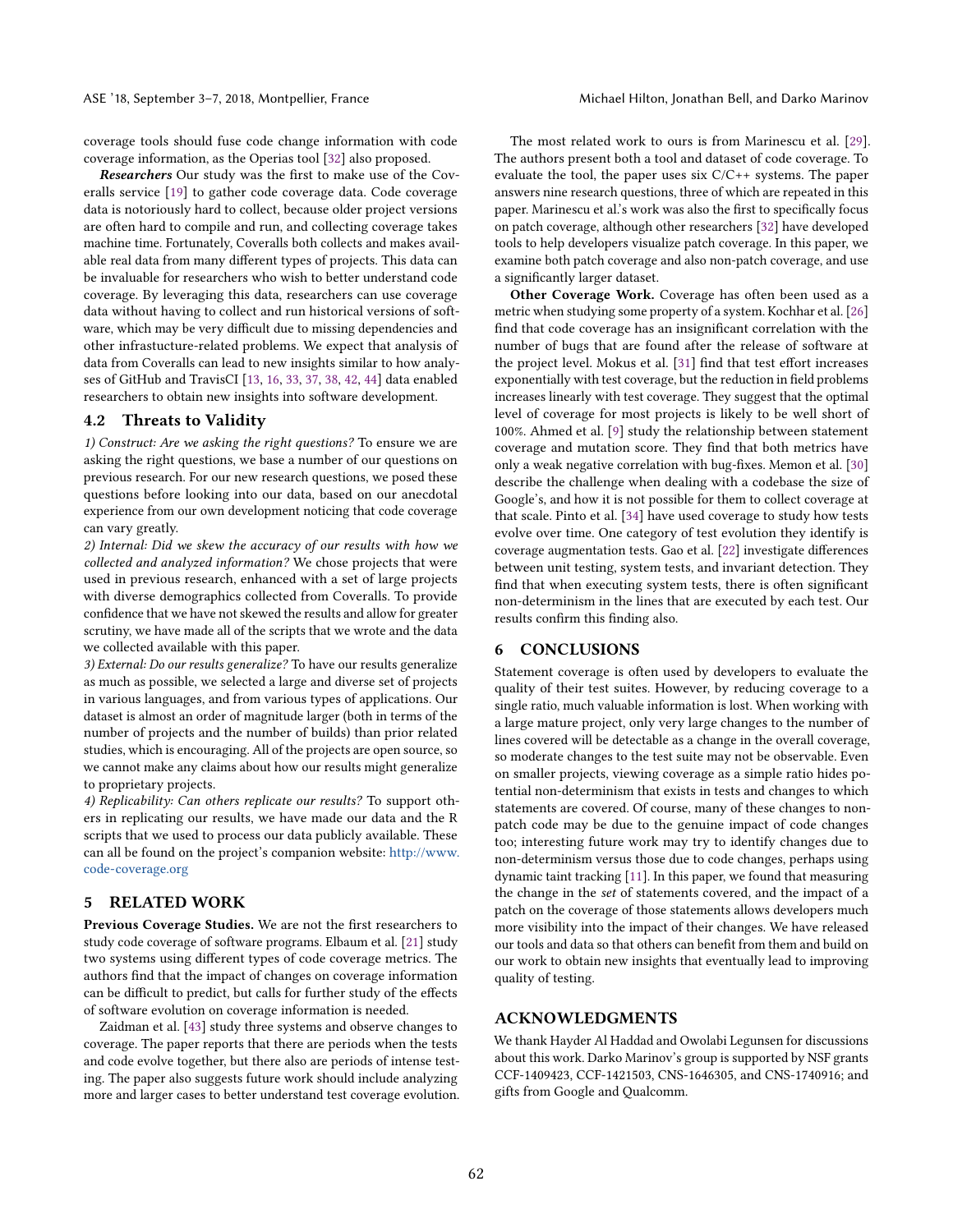coverage tools should fuse code change information with code coverage information, as the Operias tool [\[32\]](#page-10-9) also proposed.

Researchers Our study was the first to make use of the Coveralls service [\[19\]](#page-10-4) to gather code coverage data. Code coverage data is notoriously hard to collect, because older project versions are often hard to compile and run, and collecting coverage takes machine time. Fortunately, Coveralls both collects and makes available real data from many different types of projects. This data can be invaluable for researchers who wish to better understand code coverage. By leveraging this data, researchers can use coverage data without having to collect and run historical versions of software, which may be very difficult due to missing dependencies and other infrastucture-related problems. We expect that analysis of data from Coveralls can lead to new insights similar to how analyses of GitHub and TravisCI [\[13,](#page-10-31) [16,](#page-10-32) [33,](#page-10-33) [37,](#page-10-34) [38,](#page-10-35) [42,](#page-10-36) [44\]](#page-10-37) data enabled researchers to obtain new insights into software development.

### 4.2 Threats to Validity

1) Construct: Are we asking the right questions? To ensure we are asking the right questions, we base a number of our questions on previous research. For our new research questions, we posed these questions before looking into our data, based on our anecdotal experience from our own development noticing that code coverage can vary greatly.

2) Internal: Did we skew the accuracy of our results with how we collected and analyzed information? We chose projects that were used in previous research, enhanced with a set of large projects with diverse demographics collected from Coveralls. To provide confidence that we have not skewed the results and allow for greater scrutiny, we have made all of the scripts that we wrote and the data we collected available with this paper.

3) External: Do our results generalize? To have our results generalize as much as possible, we selected a large and diverse set of projects in various languages, and from various types of applications. Our dataset is almost an order of magnitude larger (both in terms of the number of projects and the number of builds) than prior related studies, which is encouraging. All of the projects are open source, so we cannot make any claims about how our results might generalize to proprietary projects.

4) Replicability: Can others replicate our results? To support others in replicating our results, we have made our data and the R scripts that we used to process our data publicly available. These can all be found on the project's companion website: [http://www.](http://www.code-coverage.org) [code-coverage.org](http://www.code-coverage.org)

### 5 RELATED WORK

Previous Coverage Studies. We are not the first researchers to study code coverage of software programs. Elbaum et al. [\[21\]](#page-10-12) study two systems using different types of code coverage metrics. The authors find that the impact of changes on coverage information can be difficult to predict, but calls for further study of the effects of software evolution on coverage information is needed.

Zaidman et al. [\[43\]](#page-10-11) study three systems and observe changes to coverage. The paper reports that there are periods when the tests and code evolve together, but there also are periods of intense testing. The paper also suggests future work should include analyzing more and larger cases to better understand test coverage evolution.

The most related work to ours is from Marinescu et al. [\[29\]](#page-10-8). The authors present both a tool and dataset of code coverage. To evaluate the tool, the paper uses six  $C/C++$  systems. The paper answers nine research questions, three of which are repeated in this paper. Marinescu et al.'s work was also the first to specifically focus on patch coverage, although other researchers [\[32\]](#page-10-9) have developed tools to help developers visualize patch coverage. In this paper, we examine both patch coverage and also non-patch coverage, and use a significantly larger dataset.

Other Coverage Work. Coverage has often been used as a metric when studying some property of a system. Kochhar et al. [\[26\]](#page-10-38) find that code coverage has an insignificant correlation with the number of bugs that are found after the release of software at the project level. Mokus et al. [\[31\]](#page-10-39) find that test effort increases exponentially with test coverage, but the reduction in field problems increases linearly with test coverage. They suggest that the optimal level of coverage for most projects is likely to be well short of 100%. Ahmed et al. [\[9\]](#page-10-40) study the relationship between statement coverage and mutation score. They find that both metrics have only a weak negative correlation with bug-fixes. Memon et al. [\[30\]](#page-10-41) describe the challenge when dealing with a codebase the size of Google's, and how it is not possible for them to collect coverage at that scale. Pinto et al. [\[34\]](#page-10-42) have used coverage to study how tests evolve over time. One category of test evolution they identify is coverage augmentation tests. Gao et al. [\[22\]](#page-10-6) investigate differences between unit testing, system tests, and invariant detection. They find that when executing system tests, there is often significant non-determinism in the lines that are executed by each test. Our results confirm this finding also.

# 6 CONCLUSIONS

Statement coverage is often used by developers to evaluate the quality of their test suites. However, by reducing coverage to a single ratio, much valuable information is lost. When working with a large mature project, only very large changes to the number of lines covered will be detectable as a change in the overall coverage, so moderate changes to the test suite may not be observable. Even on smaller projects, viewing coverage as a simple ratio hides potential non-determinism that exists in tests and changes to which statements are covered. Of course, many of these changes to nonpatch code may be due to the genuine impact of code changes too; interesting future work may try to identify changes due to non-determinism versus those due to code changes, perhaps using dynamic taint tracking [\[11\]](#page-10-43). In this paper, we found that measuring the change in the set of statements covered, and the impact of a patch on the coverage of those statements allows developers much more visibility into the impact of their changes. We have released our tools and data so that others can benefit from them and build on our work to obtain new insights that eventually lead to improving quality of testing.

# ACKNOWLEDGMENTS

We thank Hayder Al Haddad and Owolabi Legunsen for discussions about this work. Darko Marinov's group is supported by NSF grants CCF-1409423, CCF-1421503, CNS-1646305, and CNS-1740916; and gifts from Google and Qualcomm.